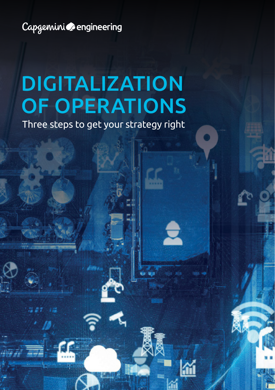Capgemini cengineering

# DIGITALIZATION OF OPERATIONS

Three steps to get your strategy right

 $\overline{\phantom{a}}$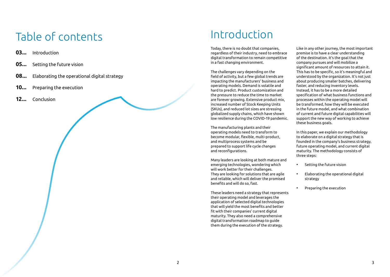# Table of contents

- **03...** Introduction
- **05...** Setting the future vision
- **08...** Elaborating the operational digital strategy
- **10...** Preparing the execution
- **12...** Conclusion

## Introduction

Today, there is no doubt that companies, regardless of their industry, need to embrace digital transformation to remain competitive in a fast changing environment.

The challenges vary depending on the field of activity, but a few global trends are impacting the manufacturers' business and operating models. Demand is volatile and hard to predict. Product customization and the pressure to reduce the time to market are forever growing. Extensive product mix, increased number of Stock Keeping Units (SKUs), and reduced lot sizes are stressing globalized supply chains, which have shown low resilience during the COVID-19 pandemic.

The manufacturing plants and their operating models need to transform to become modular, flexible, multi-product, and multiprocess systems and be prepared to support life cycle changes and reconfigurations.

Many leaders are looking at both mature and emerging technologies, wondering which will work better for their challenges. They are looking for solutions that are agile and reliable, which will deliver the promised benefits and will do so, fast.

These leaders need a strategy that represents their operating model and leverages the application of selected digital technologies that will yield the most benefits and better fit with their companies' current digital maturity. They also need a comprehensive digital transformation roadmap to guide them during the execution of the strategy.

Like in any other journey, the most important premise is to have a clear understanding of the destination. It's the goal that the company pursues and will mobilize a significant amount of resources to attain it. This has to be specific, so it's meaningful and understood by the organization. It's not just about producing smaller batches, delivering faster, and reducing inventory levels. Instead, it has to be a more detailed specification of what business functions and processes within the operating model will be transformed, how they will be executed in the future model, and what combination of current and future digital capabilities will support the new way of working to achieve these business goals.

In this paper, we explain our methodology to elaborate on a digital strategy that is founded in the company's business strategy, future operating model, and current digital maturity. The methodology consists of three steps:

- Setting the future vision
- Elaborating the operational digital strategy
- Preparing the execution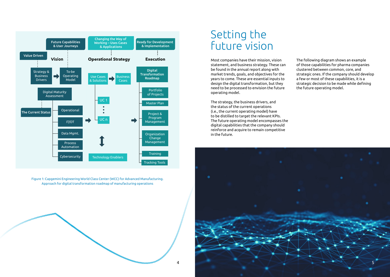

Figure 1: Capgemini Engineering World Class Center (WCC) for Advanced Manufacturing. Approach for digital transformation roadmap of manufacturing operations

### Setting the future vision

Most companies have their mission, vision statement, and business strategy. These can be found in the annual report along with market trends, goals, and objectives for the years to come. These are essential inputs to design the digital transformation, but they need to be processed to envision the future operating model.

The strategy, the business drivers, and the status of the current operations (i.e., the current operating model) have to be distilled to target the relevant KPIs. The future operating model encompasses the digital capabilities that the company should reinforce and acquire to remain competitive in the future.

The following diagram shows an example of those capabilities for pharma companies clustered between common, core, and strategic ones. If the company should develop a few or most of these capabilities, it is a strategic decision to be made while defining the future operating model.

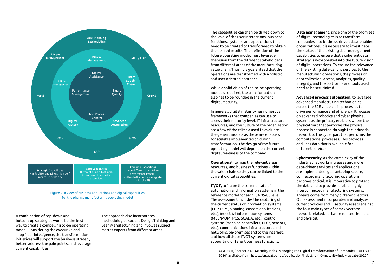

Figure 2: A view of business applications and digital capabilities for the pharma manufacturing operating model

A combination of top-down and bottom-up strategies would be the best way to create a compelling to-be operating model. Considering the executive and shop floor intelligence, the transformation initiatives will support the business strategy better, address the pain points, and leverage current capabilities.

The approach also incorporates methodologies such as Design Thinking and Lean Manufacturing and involves subject matter experts from different areas.

The capabilities can then be drilled down to the level of the user interactions, business functions, systems, and applications that need to be created or transformed to obtain the desired results. The definition of the future operating model must leverage the vision from the different stakeholders from different areas of the manufacturing value chain. Thus, it is guaranteed that the operations are transformed with a holistic and user oriented approach.

While a solid vision of the to-be operating model is required, the transformation also has to be founded in the current digital maturity.

In general, digital maturity has numerous frameworks that companies can use to assess their maturity level. IT infrastructure, resources, and the culture of the organization are a few of the criteria used to evaluate the generic models as these are enablers for scalable implementation during transformation. The design of the future operating model will depend on the current digital readiness of the company.

**Operational,** to map the relevant areas, resources, and business functions within the value chain so they can be linked to the current digital capabilities.

**IT/OT,** to frame the current state of automation and information systems in the reference model for each ISA 95/88 level. The assessment includes the capturing of the current status of information systems (ERP, PLM, planning, custom applications, etc.), industrial information systems (MES/MOM, PCS, SCADA, etc.), control systems (machine controllers, PLCs, sensors, etc.), communications infrastructure, and networks, on-premises and to the internet, and how all these IT/OT systems are supporting different business functions.

**Data management,** since one of the promises of digital technologies is to transform companies into business-driven data-enabled organizations, it is necessary to investigate the status of the existing data management capabilities to ensure that a coherent data strategy is incorporated into the future vision of digital operations. To ensure the relevance of the existing data-centric services to the manufacturing operations, the process of data collection, access, analytics, quality, integrity, and the platforms and tools used need to be scrutinized.

**Advanced process automation,** to leverage advanced manufacturing technologies across the E2E value chain processes to drive performance and efficiency. It focuses on advanced robotics and cyber physical systems as the primary enablers where the physical part that performs the physical process is connected through the Industrial network to the cyber part that performs the computational processes. This provides and uses data that is available for different services.

**Cybersecurity,** as the complexity of the Industrial networks increases and more data-driven services and applications are implemented, guaranteeing secure, connected manufacturing operations becomes critical. It is imperative to protect the data and to provide reliable, highly interconnected manufacturing systems. Threats come from many different vectors. Our assessment incorporates and analyzes current policies and IT security assets against the four main types of attack vectors: network related, software related, human, and physical.

1. ACATECH, 'Industrie 4.0 Maturity Index. Managing the Digital Transformation of Companies – UPDATE 2020', available from: https://en.acatech.de/publication/industrie-4-0-maturity-index-update-2020/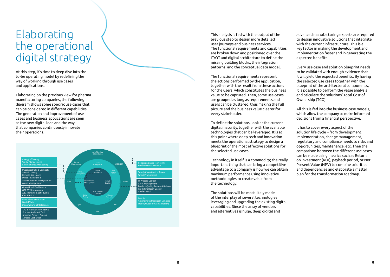### Elaborating the operational digital strategy

At this step, it's time to deep dive into the to-be operating model by redefining the way of working through use cases and applications.

Elaborating on the previous view for pharma manufacturing companies, the following diagram shows some specific use cases that can be considered in different capabilities. The generation and improvement of use cases and business applications are seen as the new digital lean and the way that companies continuously innovate their operations.



This analysis is fed with the output of the previous step to design more detailed user journeys and business services. The functional requirements and capabilities are broken down and positioned over the IT/OT and digital architecture to define the missing building blocks, the integration patterns, and the conceptual data model.

The functional requirements represent the actions performed by the application, together with the result from these actions for the users, which constitutes the business value to be captured. Then, some use cases are grouped as long as requirements and users can be clustered, thus making the full picture and the business value clearer for every stakeholder.

To define the solutions, look at the current digital maturity, together with the available technologies that can be leveraged. It is at this point where deep tech and innovation meets the operational strategy to design a blueprint of the most effective solutions for the selected use cases.

Technology in itself is a commodity; the really important thing that can bring a competitive advantage to a company is how we can obtain maximum performance using innovative methodologies to create value from the technology.

The solutions will be most likely made of the interplay of several technologies leveraging and upgrading the existing digital capabilities. Since the array of vendors and alternatives is huge, deep digital and

advanced manufacturing experts are required to design innovative solutions that integrate with the current infrastructure. This is a key factor in making the development and implementation faster and in generating the expected benefits.

Every use case and solution blueprint needs to be validated with enough evidence that it will yield the expected benefits. By having the selected use cases together with the blueprint of the architectural components, it is possible to perform the value analysis and calculate the solutions' Total Cost of Ownership (TCO).

All this is fed into the business case models, which allow the company to make informed decisions from a financial perspective.

It has to cover every aspect of the solution life cycle – from development, implementation, change management, regulatory and compliance needs to risks and opportunities, maintenance, etc. Then the comparison between the different use cases can be made using metrics such as Return on Investment (ROI), payback period, or Net Present Value (NPV) to combine priorities and dependencies and elaborate a master plan for the transformation roadmap.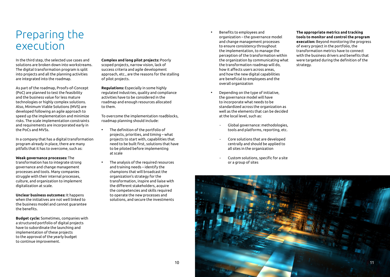### Preparing the execution

In the third step, the selected use cases and solutions are broken down into workstreams. The digital transformation program is split into projects and all the planning activities are integrated into the roadmap.

As part of the roadmap, Proofs-of-Concept (PoC) are planned to test the feasibility and the business value for less mature technologies or highly complex solutions. Also, Minimum Viable Solutions (MVS) are developed following an agile approach to speed up the implementation and minimize risks. The scale implementation constraints and requirements are incorporated early in the PoCs and MVSs.

In a company that has a digital transformation program already in place, there are many pitfalls that it has to overcome, such as:

#### **Weak governance processes:** The

transformation has to integrate strong governance and change management processes and tools. Many companies struggle with their internal processes, culture, and organization to implement digitalization at scale.

**Unclear business outcomes:** It happens when the initiatives are not well linked to the business model and cannot guarantee the benefits.

**Budget cycle:** Sometimes, companies with a structured portfolio of digital projects have to subordinate the launching and implementation of these projects to the approval of the yearly budget to continue improvement.

**Complex and long pilot projects:** Poorly scoped projects, narrow vision, lack of success criteria and agile development approach, etc., are the reasons for the stalling of pilot projects.

**Regulations:** Especially in some highly regulated industries, quality and compliance activities have to be considered in the roadmap and enough resources allocated to them.

To overcome the implementation roadblocks, roadmap planning should include:

- The definition of the portfolio of projects, priorities, and timing – what projects to start with, capabilities that need to be built first, solutions that have to be piloted before implementing at scale
- The analysis of the required resources and training needs – identify the champions that will broadcast the organization's strategy for the transformation, inspire and liaise with the different stakeholders, acquire the competencies and skills required to operate the new processes and solutions, and secure the investments
- Benefits to employees and organization – the governance model and change management processes to ensure consistency throughout the implementation, to manage the perception of the transformation within the organization by communicating what the transformation roadmap will do, how it affects users across areas, and how the new digital capabilities are beneficial to employees and the overall organization
- Depending on the type of initiative, the governance model will have to incorporate what needs to be standardized across the organization as well as the elements that can be decided at the local level, such as:
	- Global governance: methodologies, tools and platforms, reporting, etc.
	- Core solutions that are developed centrally and should be applied to all sites in the organization
	- Custom solutions, specific for a site or a group of sites

**The appropriate metrics and tracking tools to monitor and control the program execution:** Beyond monitoring the progress of every project in the portfolio, the transformation metrics have to connect with the business drivers and benefits that were targeted during the definition of the strategy.

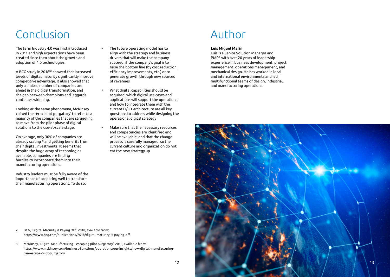# Conclusion

The term Industry 4.0 was first introduced in 2011 and high expectations have been created since then about the growth and adoption of 4.0 technologies.

A BCG study in 2018[2] showed that increased levels of digital maturity significantly improve competitive advantage. It also showed that only a limited number of companies are ahead in the digital transformation, and the gap between champions and laggards continues widening.

Looking at the same phenomena, McKinsey coined the term 'pilot purgatory' to refer to a majority of the companies that are struggling to move from the pilot phase of digital solutions to the use-at-scale stage.

On average, only 30% of companies are already scaling[3] and getting benefits from their digital investments. It seems that despite the huge array of technologies available, companies are finding hurdles to incorporate them into their manufacturing operations.

Industry leaders must be fully aware of the importance of preparing well to transform their manufacturing operations. To do so:

- The future operating model has to align with the strategy and business drivers that will make the company succeed, if the company's goal is to raise the bottom line (by cost reduction, efficiency improvements, etc.) or to generate growth through new sources of revenues
- What digital capabilities should be acquired, which digital use cases and applications will support the operations, and how to integrate them with the current IT/OT architecture are all key questions to address while designing the operational digital strategy
- Make sure that the necessary resources and competencies are identified and will be available, and that the change process is carefully managed, so the current culture and organization do not eat the new strategy up

# Author

#### **Luis Miguel Marin**

Luis is a Senior Solution Manager and PMP® with over 20 years of leadership experience in business development, project management, operations management, and mechanical design. He has worked in local and international environments and led multifunctional teams of design, industrial, and manufacturing operations.



2. BCG, 'Digital Maturity is Paying Off', 2018, available from: https://www.bcg.com/publications/2018/digital-maturity-is-paying-off

3. McKinsey, 'Digital Manufacturing – escaping pilot purgatory', 2018, available from: https://www.mckinsey.com/business-functions/operations/our-insights/how-digital-manufacturingcan-escape-pilot-purgatory